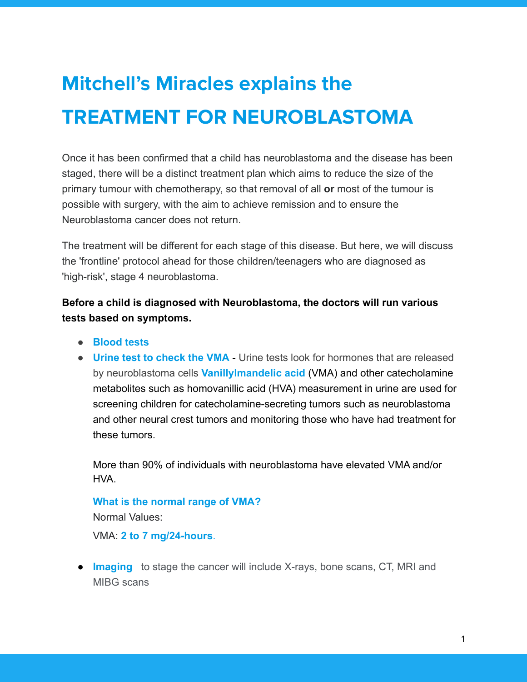## **Mitchell's Miracles explains the TREATMENT FOR NEUROBLASTOMA**

Once it has been confirmed that a child has neuroblastoma and the disease has been staged, there will be a distinct treatment plan which aims to reduce the size of the primary tumour with chemotherapy, so that removal of all **or** most of the tumour is possible with surgery, with the aim to achieve remission and to ensure the Neuroblastoma cancer does not return.

The treatment will be different for each stage of this disease. But here, we will discuss the 'frontline' protocol ahead for those children/teenagers who are diagnosed as 'high-risk', stage 4 neuroblastoma.

**Before a child is diagnosed with Neuroblastoma, the doctors will run various tests based on symptoms.**

- **● Blood tests**
- **Urine test to check the VMA** Urine tests look for hormones that are released by neuroblastoma cells **Vanillylmandelic acid** (VMA) and other catecholamine metabolites such as homovanillic acid (HVA) measurement in urine are used for screening children for catecholamine-secreting tumors such as neuroblastoma and other neural crest tumors and monitoring those who have had treatment for these tumors.

More than 90% of individuals with neuroblastoma have elevated VMA and/or HVA.

**What is the normal range of VMA?**

Normal Values:

VMA: **2 to 7 mg/24-hours**.

**• Imaging** to stage the cancer will include X-rays, bone scans, CT, MRI and MIBG scans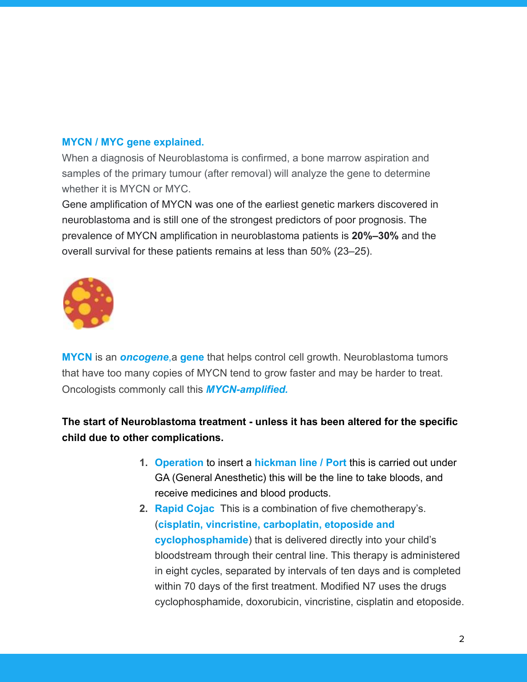## **MYCN / MYC gene explained.**

When a diagnosis of Neuroblastoma is confirmed, a bone marrow aspiration and samples of the primary tumour (after removal) will analyze the gene to determine whether it is MYCN or MYC.

Gene amplification of MYCN was one of the earliest genetic markers discovered in neuroblastoma and is still one of the strongest predictors of poor prognosis. The prevalence of MYCN amplification in neuroblastoma patients is **20%–30%** and the overall survival for these patients remains at less than 50% (23–25).



**MYCN** is an *oncogene*,a **gene** that helps control cell growth. Neuroblastoma tumors that have too many copies of MYCN tend to grow faster and may be harder to treat. Oncologists commonly call this *[MYCN-amplified](https://www.neuroblastoma-info.com/resources-and-support/glossary/#mycn-amplification).*

**The start of Neuroblastoma treatment - unless it has been altered for the specific child due to other complications.**

- **1. Operation** to insert a **hickman line / Port** this is carried out under GA (General Anesthetic) this will be the line to take bloods, and receive medicines and blood products.
- **2. Rapid Cojac** This is a combination of five chemotherapy's. (**cisplatin, vincristine, carboplatin, etoposide and cyclophosphamide**) that is delivered directly into your child's bloodstream through their central line. This therapy is administered in eight cycles, separated by intervals of ten days and is completed within 70 days of the first treatment. Modified N7 uses the drugs cyclophosphamide, doxorubicin, vincristine, cisplatin and etoposide.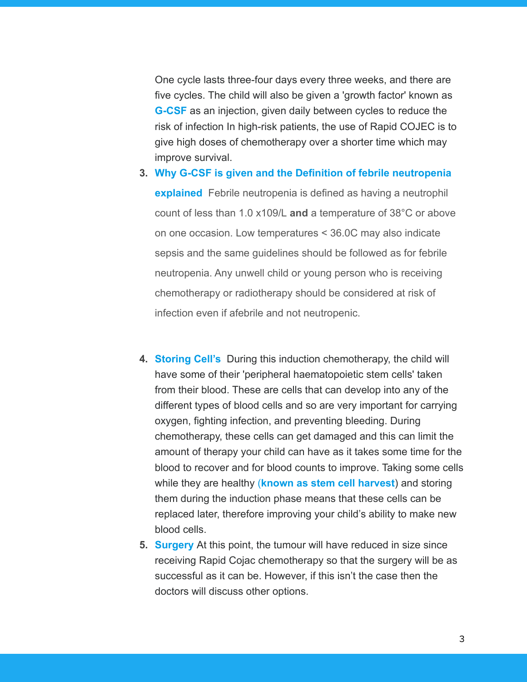One cycle lasts three-four days every three weeks, and there are five cycles. The child will also be given a 'growth factor' known as **G-CSF** as an injection, given daily between cycles to reduce the risk of infection In high-risk patients, the use of Rapid COJEC is to give high doses of chemotherapy over a shorter time which may improve survival.

- **3. Why G-CSF is given and the Definition of febrile neutropenia explained** Febrile neutropenia is defined as having a neutrophil count of less than 1.0 x109/L **and** a temperature of 38°C or above on one occasion. Low temperatures < 36.0C may also indicate sepsis and the same guidelines should be followed as for febrile neutropenia. Any unwell child or young person who is receiving chemotherapy or radiotherapy should be considered at risk of infection even if afebrile and not neutropenic.
- **4. Storing Cell's** During this induction chemotherapy, the child will have some of their 'peripheral haematopoietic stem cells' taken from their blood. These are cells that can develop into any of the different types of blood cells and so are very important for carrying oxygen, fighting infection, and preventing bleeding. During chemotherapy, these cells can get damaged and this can limit the amount of therapy your child can have as it takes some time for the blood to recover and for blood counts to improve. Taking some cells while they are healthy (**known as stem cell harvest**) and storing them during the induction phase means that these cells can be replaced later, therefore improving your child's ability to make new blood cells.
- **5. Surgery** At this point, the tumour will have reduced in size since receiving Rapid Cojac chemotherapy so that the surgery will be as successful as it can be. However, if this isn't the case then the doctors will discuss other options.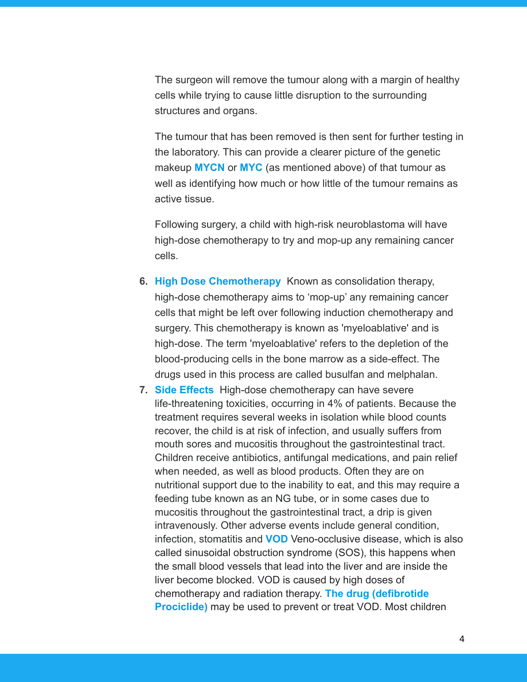The surgeon will remove the tumour along with a margin of healthy cells while trying to cause little disruption to the surrounding structures and organs.

The tumour that has been removed is then sent for further testing in the laboratory. This can provide a clearer picture of the genetic makeup **MYCN** or **MYC** (as mentioned above) of that tumour as well as identifying how much or how little of the tumour remains as active tissue.

Following surgery, a child with high-risk neuroblastoma will have high-dose chemotherapy to try and mop-up any remaining cancer cells.

- **6. High Dose Chemotherapy** Known as consolidation therapy, high-dose chemotherapy aims to 'mop-up' any remaining cancer cells that might be left over following induction chemotherapy and surgery. This chemotherapy is known as 'myeloablative' and is high-dose. The term 'myeloablative' refers to the depletion of the blood-producing cells in the bone marrow as a side-effect. The drugs used in this process are called busulfan and melphalan.
- **7. Side Effects** High-dose chemotherapy can have severe life-threatening toxicities, occurring in 4% of patients. Because the treatment requires several weeks in isolation while blood counts recover, the child is at risk of infection, and usually suffers from mouth sores and mucositis throughout the gastrointestinal tract. Children receive antibiotics, antifungal medications, and pain relief when needed, as well as blood products. Often they are on nutritional support due to the inability to eat, and this may require a feeding tube known as an NG tube, or in some cases due to mucositis throughout the gastrointestinal tract, a drip is given intravenously. Other adverse events include general condition, infection, stomatitis and **VOD** Veno-occlusive disease, which is also called sinusoidal obstruction syndrome (SOS), this happens when the small blood vessels that lead into the liver and are inside the liver become blocked. VOD is caused by high doses of chemotherapy and radiation therapy. **The drug (defibrotide Prociclide)** may be used to prevent or treat VOD. Most children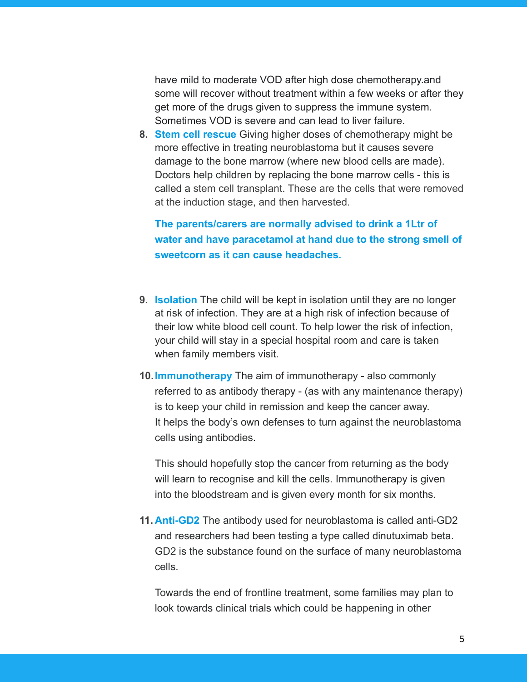have mild to moderate VOD after high dose chemotherapy.and some will recover without treatment within a few weeks or after they get more of the drugs given to suppress the immune system. Sometimes VOD is severe and can lead to liver failure.

**8. Stem cell rescue** Giving higher doses of chemotherapy might be more effective in treating neuroblastoma but it causes severe damage to the bone marrow (where new blood cells are made). Doctors help children by replacing the bone marrow cells - this is called a [stem cell transplant](https://www.solvingkidscancer.org.uk/stem-cell-treatment). These are the cells that were removed at the induction stage, and then harvested.

## **The parents/carers are normally advised to drink a 1Ltr of water and have paracetamol at hand due to the strong smell of sweetcorn as it can cause headaches.**

- **9. Isolation** The child will be kept in isolation until they are no longer at risk of infection. They are at a high risk of infection because of their low white blood cell count. To help lower the risk of infection, your child will stay in a special hospital room and care is taken when family members visit.
- **10.Immunotherapy** The aim of immunotherapy also commonly referred to as antibody therapy - (as with any maintenance therapy) is to keep your child in remission and keep the cancer away. It helps the body's own defenses to turn against the neuroblastoma cells using antibodies.

This should hopefully stop the cancer from returning as the body will learn to recognise and kill the cells. Immunotherapy is given into the bloodstream and is given every month for six months.

**11. Anti-GD2** The antibody used for neuroblastoma is called anti-GD2 and researchers had been testing a type called dinutuximab beta. GD2 is the substance found on the surface of many neuroblastoma cells.

Towards the end of frontline treatment, some families may plan to look towards clinical trials which could be happening in other